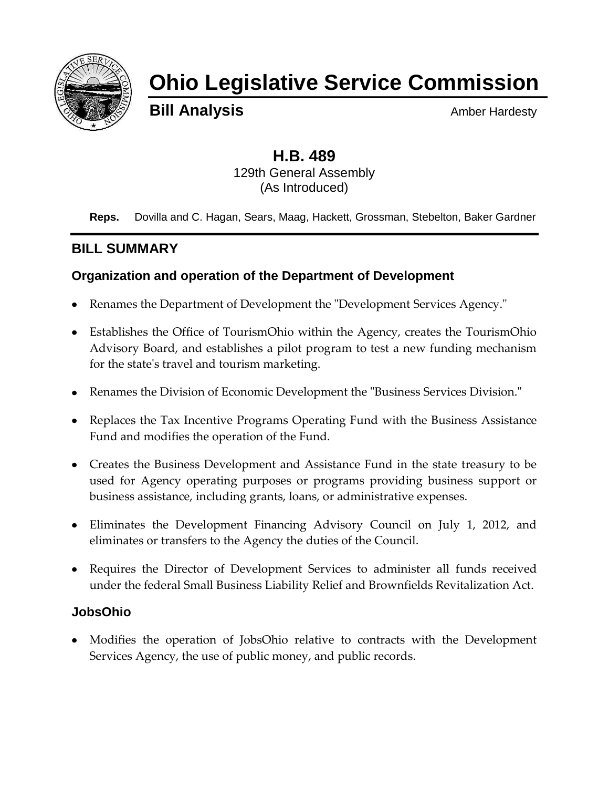

# **Ohio Legislative Service Commission**

**Bill Analysis** Amber Hardesty

# **H.B. 489** 129th General Assembly (As Introduced)

**Reps.** Dovilla and C. Hagan, Sears, Maag, Hackett, Grossman, Stebelton, Baker Gardner

# **BILL SUMMARY**

# **Organization and operation of the Department of Development**

- Renames the Department of Development the "Development Services Agency."
- Establishes the Office of TourismOhio within the Agency, creates the TourismOhio Advisory Board, and establishes a pilot program to test a new funding mechanism for the state's travel and tourism marketing.
- Renames the Division of Economic Development the "Business Services Division."
- Replaces the Tax Incentive Programs Operating Fund with the Business Assistance Fund and modifies the operation of the Fund.
- Creates the Business Development and Assistance Fund in the state treasury to be used for Agency operating purposes or programs providing business support or business assistance, including grants, loans, or administrative expenses.
- Eliminates the Development Financing Advisory Council on July 1, 2012, and eliminates or transfers to the Agency the duties of the Council.
- Requires the Director of Development Services to administer all funds received under the federal Small Business Liability Relief and Brownfields Revitalization Act.

# **JobsOhio**

Modifies the operation of JobsOhio relative to contracts with the Development Services Agency, the use of public money, and public records.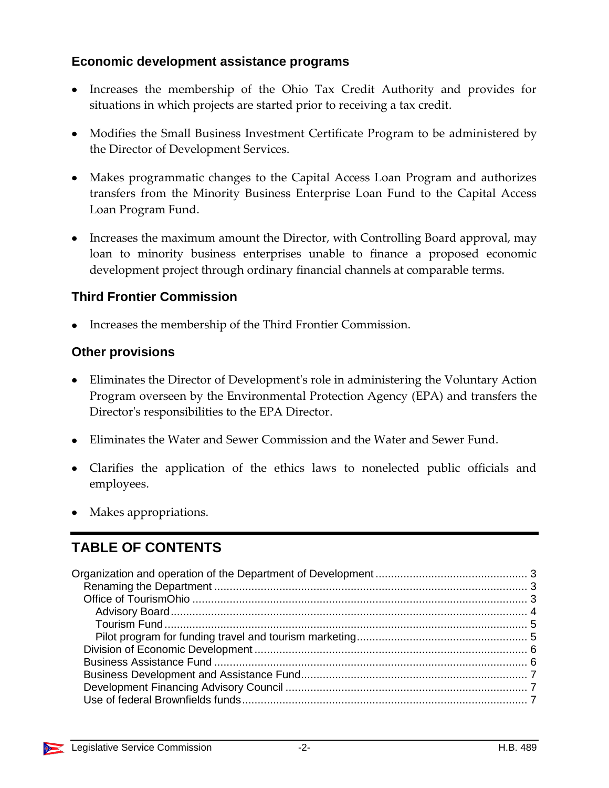# **Economic development assistance programs**

- Increases the membership of the Ohio Tax Credit Authority and provides for situations in which projects are started prior to receiving a tax credit.
- Modifies the Small Business Investment Certificate Program to be administered by the Director of Development Services.
- Makes programmatic changes to the Capital Access Loan Program and authorizes transfers from the Minority Business Enterprise Loan Fund to the Capital Access Loan Program Fund.
- Increases the maximum amount the Director, with Controlling Board approval, may loan to minority business enterprises unable to finance a proposed economic development project through ordinary financial channels at comparable terms.

# **Third Frontier Commission**

• Increases the membership of the Third Frontier Commission.

# **Other provisions**

- Eliminates the Director of Development's role in administering the Voluntary Action Program overseen by the Environmental Protection Agency (EPA) and transfers the Director's responsibilities to the EPA Director.
- Eliminates the Water and Sewer Commission and the Water and Sewer Fund.
- Clarifies the application of the ethics laws to nonelected public officials and employees.
- Makes appropriations.

# **TABLE OF CONTENTS**

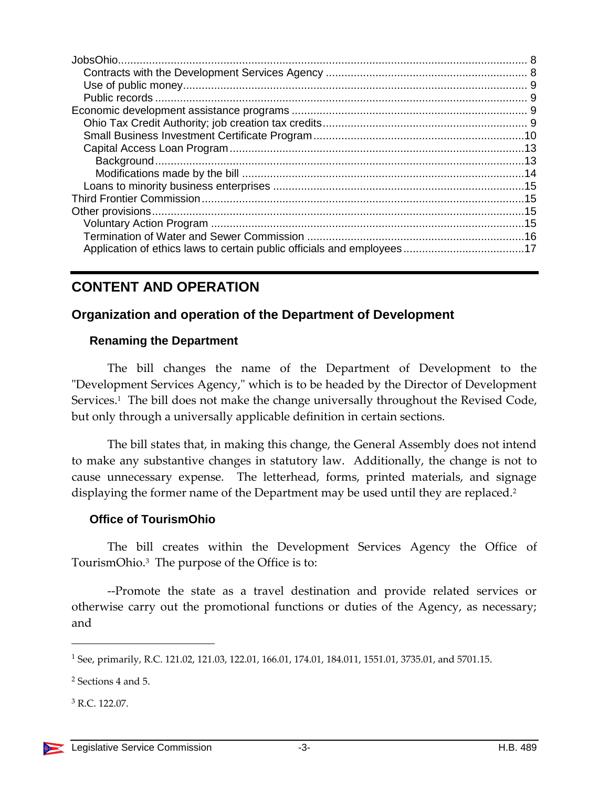# **CONTENT AND OPERATION**

# <span id="page-2-0"></span>**Organization and operation of the Department of Development**

#### <span id="page-2-1"></span>**Renaming the Department**

The bill changes the name of the Department of Development to the "Development Services Agency," which is to be headed by the Director of Development Services.<sup>1</sup> The bill does not make the change universally throughout the Revised Code, but only through a universally applicable definition in certain sections.

The bill states that, in making this change, the General Assembly does not intend to make any substantive changes in statutory law. Additionally, the change is not to cause unnecessary expense. The letterhead, forms, printed materials, and signage displaying the former name of the Department may be used until they are replaced.<sup>2</sup>

#### <span id="page-2-2"></span>**Office of TourismOhio**

The bill creates within the Development Services Agency the Office of TourismOhio.<sup>3</sup> The purpose of the Office is to:

--Promote the state as a travel destination and provide related services or otherwise carry out the promotional functions or duties of the Agency, as necessary; and

<sup>1</sup> See, primarily, R.C. 121.02, 121.03, 122.01, 166.01, 174.01, 184.011, 1551.01, 3735.01, and 5701.15.

<sup>2</sup> Sections 4 and 5.

 $3 R C$  122.07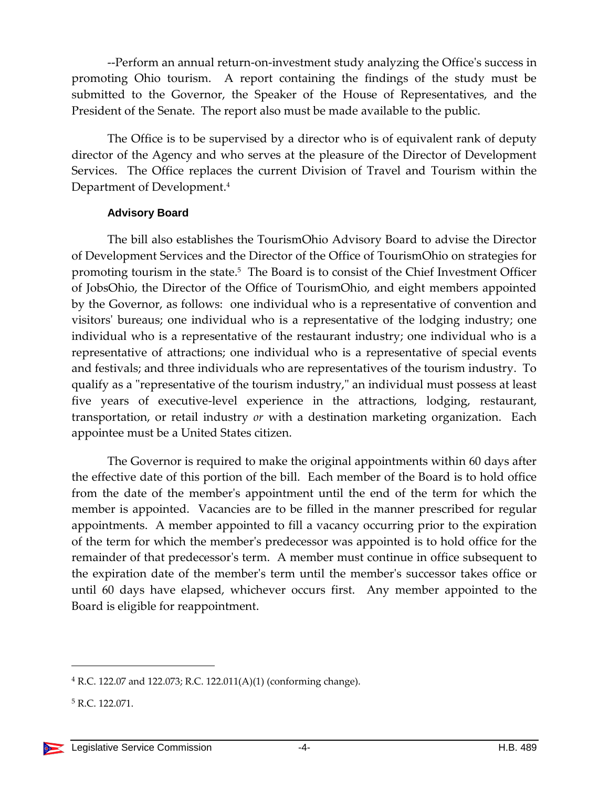--Perform an annual return-on-investment study analyzing the Office's success in promoting Ohio tourism. A report containing the findings of the study must be submitted to the Governor, the Speaker of the House of Representatives, and the President of the Senate. The report also must be made available to the public.

The Office is to be supervised by a director who is of equivalent rank of deputy director of the Agency and who serves at the pleasure of the Director of Development Services. The Office replaces the current Division of Travel and Tourism within the Department of Development.<sup>4</sup>

#### **Advisory Board**

<span id="page-3-0"></span>The bill also establishes the TourismOhio Advisory Board to advise the Director of Development Services and the Director of the Office of TourismOhio on strategies for promoting tourism in the state.<sup>5</sup> The Board is to consist of the Chief Investment Officer of JobsOhio, the Director of the Office of TourismOhio, and eight members appointed by the Governor, as follows: one individual who is a representative of convention and visitors' bureaus; one individual who is a representative of the lodging industry; one individual who is a representative of the restaurant industry; one individual who is a representative of attractions; one individual who is a representative of special events and festivals; and three individuals who are representatives of the tourism industry. To qualify as a "representative of the tourism industry," an individual must possess at least five years of executive-level experience in the attractions, lodging, restaurant, transportation, or retail industry *or* with a destination marketing organization. Each appointee must be a United States citizen.

The Governor is required to make the original appointments within 60 days after the effective date of this portion of the bill. Each member of the Board is to hold office from the date of the member's appointment until the end of the term for which the member is appointed. Vacancies are to be filled in the manner prescribed for regular appointments. A member appointed to fill a vacancy occurring prior to the expiration of the term for which the member's predecessor was appointed is to hold office for the remainder of that predecessor's term. A member must continue in office subsequent to the expiration date of the member's term until the member's successor takes office or until 60 days have elapsed, whichever occurs first. Any member appointed to the Board is eligible for reappointment.

 $4$  R.C. 122.07 and 122.073; R.C. 122.011(A)(1) (conforming change).

<sup>5</sup> R.C. 122.071.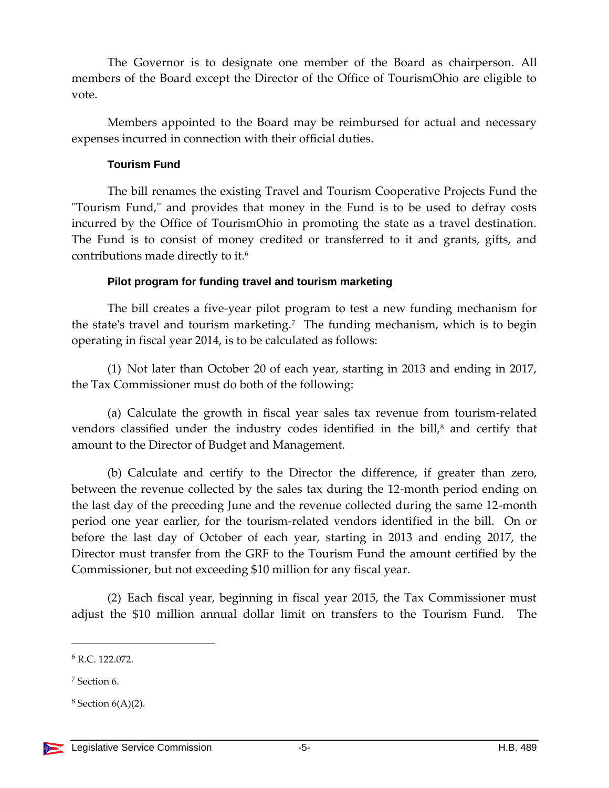The Governor is to designate one member of the Board as chairperson. All members of the Board except the Director of the Office of TourismOhio are eligible to vote.

Members appointed to the Board may be reimbursed for actual and necessary expenses incurred in connection with their official duties.

#### **Tourism Fund**

<span id="page-4-0"></span>The bill renames the existing Travel and Tourism Cooperative Projects Fund the "Tourism Fund," and provides that money in the Fund is to be used to defray costs incurred by the Office of TourismOhio in promoting the state as a travel destination. The Fund is to consist of money credited or transferred to it and grants, gifts, and contributions made directly to it.<sup>6</sup>

#### **Pilot program for funding travel and tourism marketing**

<span id="page-4-1"></span>The bill creates a five-year pilot program to test a new funding mechanism for the state's travel and tourism marketing.<sup>7</sup> The funding mechanism, which is to begin operating in fiscal year 2014, is to be calculated as follows:

(1) Not later than October 20 of each year, starting in 2013 and ending in 2017, the Tax Commissioner must do both of the following:

(a) Calculate the growth in fiscal year sales tax revenue from tourism-related vendors classified under the industry codes identified in the bill,<sup>8</sup> and certify that amount to the Director of Budget and Management.

(b) Calculate and certify to the Director the difference, if greater than zero, between the revenue collected by the sales tax during the 12-month period ending on the last day of the preceding June and the revenue collected during the same 12-month period one year earlier, for the tourism-related vendors identified in the bill. On or before the last day of October of each year, starting in 2013 and ending 2017, the Director must transfer from the GRF to the Tourism Fund the amount certified by the Commissioner, but not exceeding \$10 million for any fiscal year.

(2) Each fiscal year, beginning in fiscal year 2015, the Tax Commissioner must adjust the \$10 million annual dollar limit on transfers to the Tourism Fund. The

<sup>6</sup> R.C. 122.072.

<sup>7</sup> Section 6.

 $8$  Section  $6(A)(2)$ .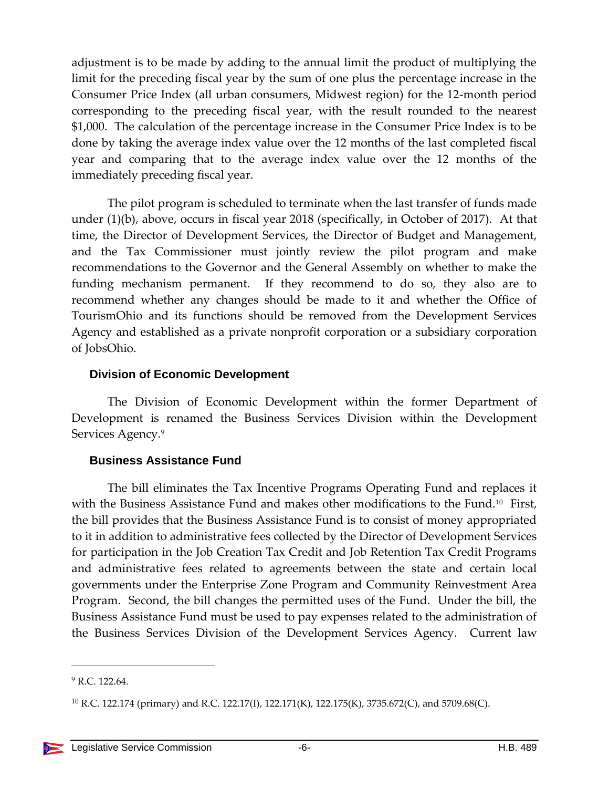adjustment is to be made by adding to the annual limit the product of multiplying the limit for the preceding fiscal year by the sum of one plus the percentage increase in the Consumer Price Index (all urban consumers, Midwest region) for the 12-month period corresponding to the preceding fiscal year, with the result rounded to the nearest \$1,000. The calculation of the percentage increase in the Consumer Price Index is to be done by taking the average index value over the 12 months of the last completed fiscal year and comparing that to the average index value over the 12 months of the immediately preceding fiscal year.

The pilot program is scheduled to terminate when the last transfer of funds made under (1)(b), above, occurs in fiscal year 2018 (specifically, in October of 2017). At that time, the Director of Development Services, the Director of Budget and Management, and the Tax Commissioner must jointly review the pilot program and make recommendations to the Governor and the General Assembly on whether to make the funding mechanism permanent. If they recommend to do so, they also are to recommend whether any changes should be made to it and whether the Office of TourismOhio and its functions should be removed from the Development Services Agency and established as a private nonprofit corporation or a subsidiary corporation of JobsOhio.

#### <span id="page-5-0"></span>**Division of Economic Development**

The Division of Economic Development within the former Department of Development is renamed the Business Services Division within the Development Services Agency. 9

#### <span id="page-5-1"></span>**Business Assistance Fund**

The bill eliminates the Tax Incentive Programs Operating Fund and replaces it with the Business Assistance Fund and makes other modifications to the Fund.<sup>10</sup> First, the bill provides that the Business Assistance Fund is to consist of money appropriated to it in addition to administrative fees collected by the Director of Development Services for participation in the Job Creation Tax Credit and Job Retention Tax Credit Programs and administrative fees related to agreements between the state and certain local governments under the Enterprise Zone Program and Community Reinvestment Area Program. Second, the bill changes the permitted uses of the Fund. Under the bill, the Business Assistance Fund must be used to pay expenses related to the administration of the Business Services Division of the Development Services Agency. Current law

 $9$  R.C. 122.64.

<sup>&</sup>lt;sup>10</sup> R.C. 122.174 (primary) and R.C. 122.17(I), 122.171(K), 122.175(K), 3735.672(C), and 5709.68(C).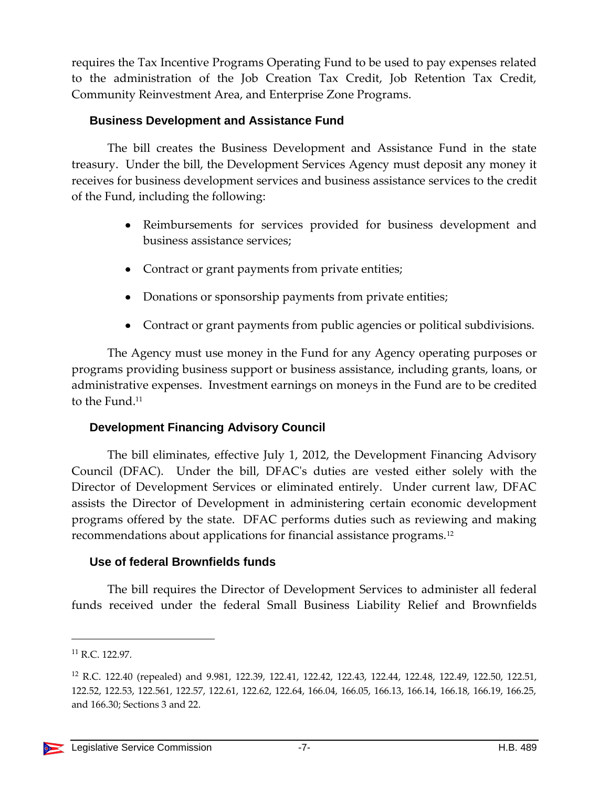requires the Tax Incentive Programs Operating Fund to be used to pay expenses related to the administration of the Job Creation Tax Credit, Job Retention Tax Credit, Community Reinvestment Area, and Enterprise Zone Programs.

#### <span id="page-6-0"></span>**Business Development and Assistance Fund**

The bill creates the Business Development and Assistance Fund in the state treasury. Under the bill, the Development Services Agency must deposit any money it receives for business development services and business assistance services to the credit of the Fund, including the following:

- Reimbursements for services provided for business development and business assistance services;
- Contract or grant payments from private entities;
- Donations or sponsorship payments from private entities;
- Contract or grant payments from public agencies or political subdivisions.

The Agency must use money in the Fund for any Agency operating purposes or programs providing business support or business assistance, including grants, loans, or administrative expenses. Investment earnings on moneys in the Fund are to be credited to the Fund.<sup>11</sup>

# <span id="page-6-1"></span>**Development Financing Advisory Council**

The bill eliminates, effective July 1, 2012, the Development Financing Advisory Council (DFAC). Under the bill, DFAC's duties are vested either solely with the Director of Development Services or eliminated entirely. Under current law, DFAC assists the Director of Development in administering certain economic development programs offered by the state. DFAC performs duties such as reviewing and making recommendations about applications for financial assistance programs.<sup>12</sup>

#### <span id="page-6-2"></span>**Use of federal Brownfields funds**

The bill requires the Director of Development Services to administer all federal funds received under the federal Small Business Liability Relief and Brownfields

<sup>11</sup> R.C. 122.97.

<sup>12</sup> R.C. 122.40 (repealed) and 9.981, 122.39, 122.41, 122.42, 122.43, 122.44, 122.48, 122.49, 122.50, 122.51, 122.52, 122.53, 122.561, 122.57, 122.61, 122.62, 122.64, 166.04, 166.05, 166.13, 166.14, 166.18, 166.19, 166.25, and 166.30; Sections 3 and 22.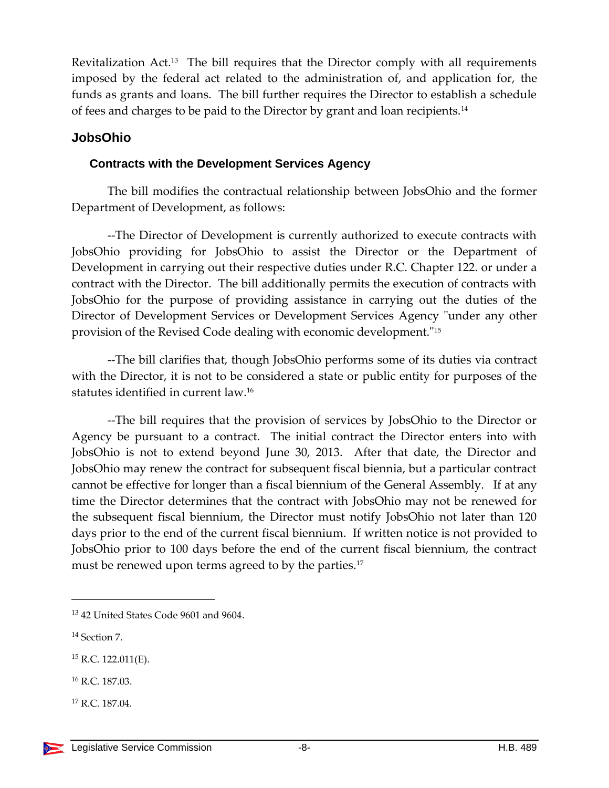Revitalization Act.<sup>13</sup> The bill requires that the Director comply with all requirements imposed by the federal act related to the administration of, and application for, the funds as grants and loans. The bill further requires the Director to establish a schedule of fees and charges to be paid to the Director by grant and loan recipients.<sup>14</sup>

# <span id="page-7-0"></span>**JobsOhio**

#### <span id="page-7-1"></span>**Contracts with the Development Services Agency**

The bill modifies the contractual relationship between JobsOhio and the former Department of Development, as follows:

--The Director of Development is currently authorized to execute contracts with JobsOhio providing for JobsOhio to assist the Director or the Department of Development in carrying out their respective duties under R.C. Chapter 122. or under a contract with the Director. The bill additionally permits the execution of contracts with JobsOhio for the purpose of providing assistance in carrying out the duties of the Director of Development Services or Development Services Agency "under any other provision of the Revised Code dealing with economic development."<sup>15</sup>

--The bill clarifies that, though JobsOhio performs some of its duties via contract with the Director, it is not to be considered a state or public entity for purposes of the statutes identified in current law.<sup>16</sup>

--The bill requires that the provision of services by JobsOhio to the Director or Agency be pursuant to a contract. The initial contract the Director enters into with JobsOhio is not to extend beyond June 30, 2013. After that date, the Director and JobsOhio may renew the contract for subsequent fiscal biennia, but a particular contract cannot be effective for longer than a fiscal biennium of the General Assembly. If at any time the Director determines that the contract with JobsOhio may not be renewed for the subsequent fiscal biennium, the Director must notify JobsOhio not later than 120 days prior to the end of the current fiscal biennium. If written notice is not provided to JobsOhio prior to 100 days before the end of the current fiscal biennium, the contract must be renewed upon terms agreed to by the parties.<sup>17</sup>

<sup>13</sup> 42 United States Code 9601 and 9604.

<sup>14</sup> Section 7.

 $15$  R.C. 122.011(E).

<sup>16</sup> R.C. 187.03.

<sup>17</sup> R.C. 187.04.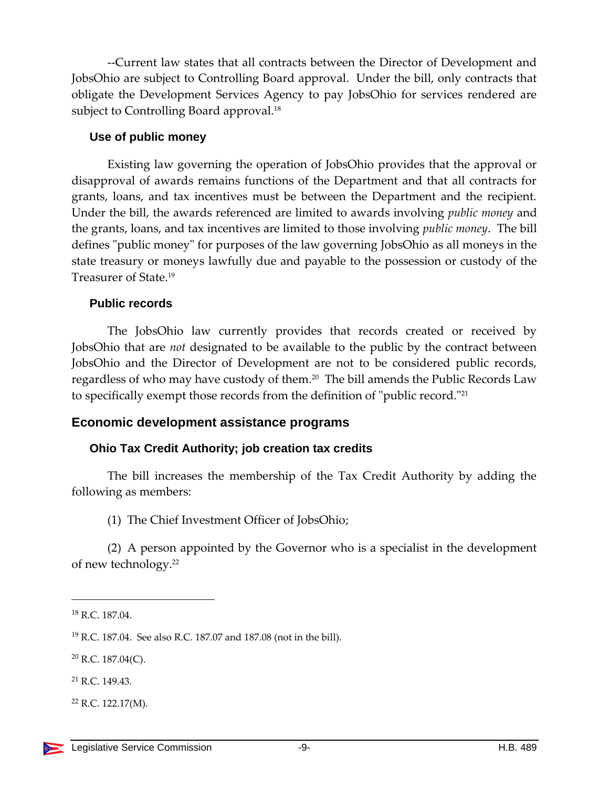--Current law states that all contracts between the Director of Development and JobsOhio are subject to Controlling Board approval. Under the bill, only contracts that obligate the Development Services Agency to pay JobsOhio for services rendered are subject to Controlling Board approval.<sup>18</sup>

#### <span id="page-8-0"></span>**Use of public money**

Existing law governing the operation of JobsOhio provides that the approval or disapproval of awards remains functions of the Department and that all contracts for grants, loans, and tax incentives must be between the Department and the recipient. Under the bill, the awards referenced are limited to awards involving *public money* and the grants, loans, and tax incentives are limited to those involving *public money*. The bill defines "public money" for purposes of the law governing JobsOhio as all moneys in the state treasury or moneys lawfully due and payable to the possession or custody of the Treasurer of State.<sup>19</sup>

#### <span id="page-8-1"></span>**Public records**

The JobsOhio law currently provides that records created or received by JobsOhio that are *not* designated to be available to the public by the contract between JobsOhio and the Director of Development are not to be considered public records, regardless of who may have custody of them.<sup>20</sup> The bill amends the Public Records Law to specifically exempt those records from the definition of "public record."<sup>21</sup>

# <span id="page-8-2"></span>**Economic development assistance programs**

# <span id="page-8-3"></span>**Ohio Tax Credit Authority; job creation tax credits**

The bill increases the membership of the Tax Credit Authority by adding the following as members:

(1) The Chief Investment Officer of JobsOhio;

(2) A person appointed by the Governor who is a specialist in the development of new technology.<sup>22</sup>

<sup>18</sup> R.C. 187.04.

<sup>19</sup> R.C. 187.04. See also R.C. 187.07 and 187.08 (not in the bill).

 $20$  R.C. 187.04(C).

<sup>21</sup> R.C. 149.43.

 $22$  R.C. 122.17(M).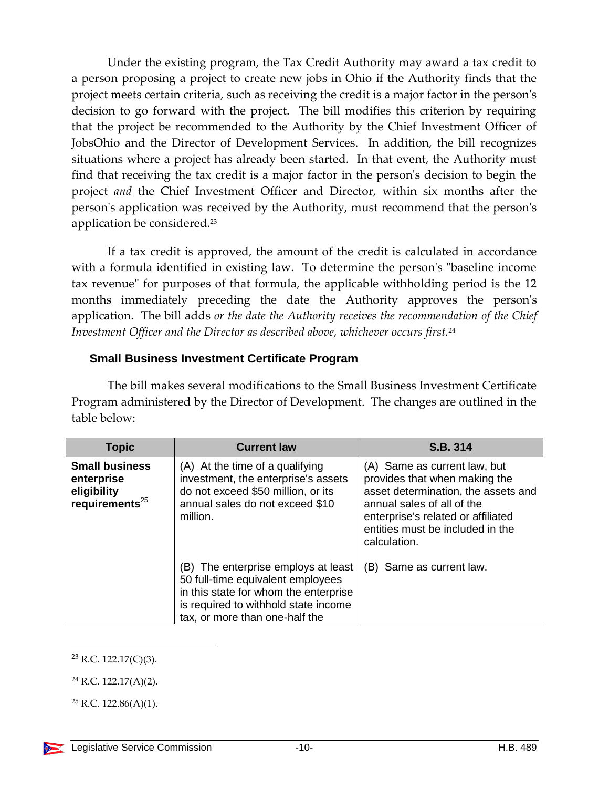Under the existing program, the Tax Credit Authority may award a tax credit to a person proposing a project to create new jobs in Ohio if the Authority finds that the project meets certain criteria, such as receiving the credit is a major factor in the person's decision to go forward with the project. The bill modifies this criterion by requiring that the project be recommended to the Authority by the Chief Investment Officer of JobsOhio and the Director of Development Services. In addition, the bill recognizes situations where a project has already been started. In that event, the Authority must find that receiving the tax credit is a major factor in the person's decision to begin the project *and* the Chief Investment Officer and Director, within six months after the person's application was received by the Authority, must recommend that the person's application be considered.<sup>23</sup>

If a tax credit is approved, the amount of the credit is calculated in accordance with a formula identified in existing law. To determine the person's "baseline income tax revenue" for purposes of that formula, the applicable withholding period is the 12 months immediately preceding the date the Authority approves the person's application. The bill adds *or the date the Authority receives the recommendation of the Chief Investment Officer and the Director as described above, whichever occurs first.*<sup>24</sup>

#### <span id="page-9-0"></span>**Small Business Investment Certificate Program**

The bill makes several modifications to the Small Business Investment Certificate Program administered by the Director of Development. The changes are outlined in the table below:

| <b>Topic</b>                                                               | <b>Current law</b>                                                                                                                                                                          | S.B. 314                                                                                                                                                                                                                     |
|----------------------------------------------------------------------------|---------------------------------------------------------------------------------------------------------------------------------------------------------------------------------------------|------------------------------------------------------------------------------------------------------------------------------------------------------------------------------------------------------------------------------|
| <b>Small business</b><br>enterprise<br>eligibility<br>requirements $^{25}$ | (A) At the time of a qualifying<br>investment, the enterprise's assets<br>do not exceed \$50 million, or its<br>annual sales do not exceed \$10<br>million.                                 | (A) Same as current law, but<br>provides that when making the<br>asset determination, the assets and<br>annual sales of all of the<br>enterprise's related or affiliated<br>entities must be included in the<br>calculation. |
|                                                                            | (B) The enterprise employs at least<br>50 full-time equivalent employees<br>in this state for whom the enterprise<br>is required to withhold state income<br>tax, or more than one-half the | (B) Same as current law.                                                                                                                                                                                                     |

<sup>23</sup> R.C. 122.17(C)(3).

l

<sup>24</sup> R.C. 122.17(A)(2).

 $25$  R.C. 122.86(A)(1).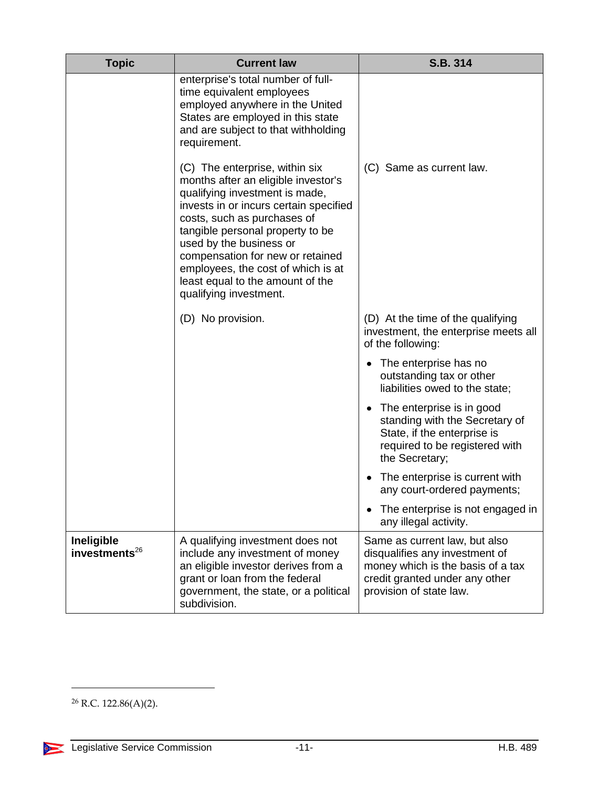| <b>Topic</b>                            | <b>Current law</b>                                                                                                                                                                                                                                                                                                                                                                      | S.B. 314                                                                                                                                                          |
|-----------------------------------------|-----------------------------------------------------------------------------------------------------------------------------------------------------------------------------------------------------------------------------------------------------------------------------------------------------------------------------------------------------------------------------------------|-------------------------------------------------------------------------------------------------------------------------------------------------------------------|
|                                         | enterprise's total number of full-<br>time equivalent employees<br>employed anywhere in the United<br>States are employed in this state<br>and are subject to that withholding<br>requirement.                                                                                                                                                                                          |                                                                                                                                                                   |
|                                         | (C) The enterprise, within six<br>months after an eligible investor's<br>qualifying investment is made,<br>invests in or incurs certain specified<br>costs, such as purchases of<br>tangible personal property to be<br>used by the business or<br>compensation for new or retained<br>employees, the cost of which is at<br>least equal to the amount of the<br>qualifying investment. | (C) Same as current law.                                                                                                                                          |
|                                         | (D) No provision.                                                                                                                                                                                                                                                                                                                                                                       | (D) At the time of the qualifying<br>investment, the enterprise meets all<br>of the following:                                                                    |
|                                         |                                                                                                                                                                                                                                                                                                                                                                                         | The enterprise has no<br>٠<br>outstanding tax or other<br>liabilities owed to the state;                                                                          |
|                                         |                                                                                                                                                                                                                                                                                                                                                                                         | • The enterprise is in good<br>standing with the Secretary of<br>State, if the enterprise is<br>required to be registered with<br>the Secretary;                  |
|                                         |                                                                                                                                                                                                                                                                                                                                                                                         | The enterprise is current with<br>any court-ordered payments;                                                                                                     |
|                                         |                                                                                                                                                                                                                                                                                                                                                                                         | The enterprise is not engaged in<br>any illegal activity.                                                                                                         |
| Ineligible<br>investments <sup>26</sup> | A qualifying investment does not<br>include any investment of money<br>an eligible investor derives from a<br>grant or loan from the federal<br>government, the state, or a political<br>subdivision.                                                                                                                                                                                   | Same as current law, but also<br>disqualifies any investment of<br>money which is the basis of a tax<br>credit granted under any other<br>provision of state law. |

 $26$  R.C. 122.86(A)(2).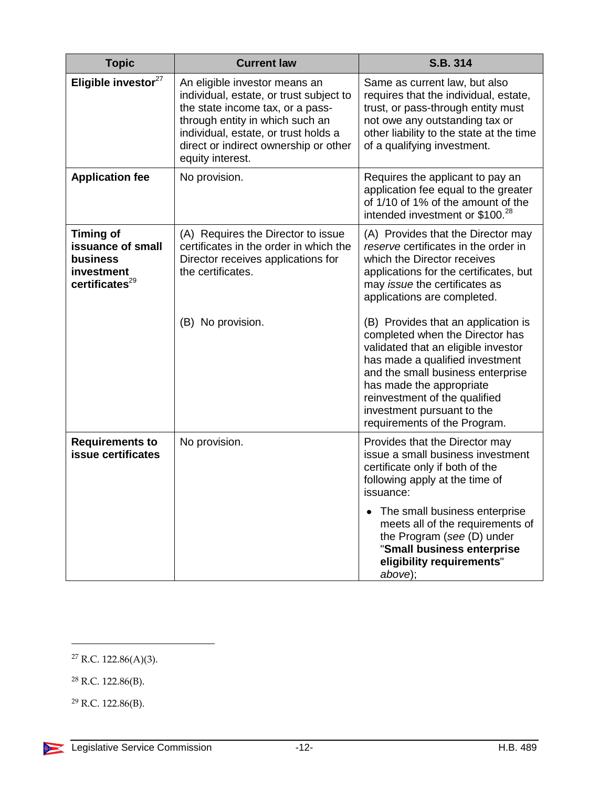| <b>Topic</b>                                                                                  | <b>Current law</b>                                                                                                                                                                                                                                   | S.B. 314                                                                                                                                                                                                                                                                                                         |
|-----------------------------------------------------------------------------------------------|------------------------------------------------------------------------------------------------------------------------------------------------------------------------------------------------------------------------------------------------------|------------------------------------------------------------------------------------------------------------------------------------------------------------------------------------------------------------------------------------------------------------------------------------------------------------------|
| Eligible investor <sup>27</sup>                                                               | An eligible investor means an<br>individual, estate, or trust subject to<br>the state income tax, or a pass-<br>through entity in which such an<br>individual, estate, or trust holds a<br>direct or indirect ownership or other<br>equity interest. | Same as current law, but also<br>requires that the individual, estate,<br>trust, or pass-through entity must<br>not owe any outstanding tax or<br>other liability to the state at the time<br>of a qualifying investment.                                                                                        |
| <b>Application fee</b>                                                                        | No provision.                                                                                                                                                                                                                                        | Requires the applicant to pay an<br>application fee equal to the greater<br>of 1/10 of 1% of the amount of the<br>intended investment or \$100. <sup>28</sup>                                                                                                                                                    |
| <b>Timing of</b><br>issuance of small<br>business<br>investment<br>certificates <sup>29</sup> | (A) Requires the Director to issue<br>certificates in the order in which the<br>Director receives applications for<br>the certificates.                                                                                                              | (A) Provides that the Director may<br>reserve certificates in the order in<br>which the Director receives<br>applications for the certificates, but<br>may issue the certificates as<br>applications are completed.                                                                                              |
|                                                                                               | (B) No provision.                                                                                                                                                                                                                                    | (B) Provides that an application is<br>completed when the Director has<br>validated that an eligible investor<br>has made a qualified investment<br>and the small business enterprise<br>has made the appropriate<br>reinvestment of the qualified<br>investment pursuant to the<br>requirements of the Program. |
| <b>Requirements to</b><br>issue certificates                                                  | No provision.                                                                                                                                                                                                                                        | Provides that the Director may<br>issue a small business investment<br>certificate only if both of the<br>following apply at the time of<br>issuance:                                                                                                                                                            |
|                                                                                               |                                                                                                                                                                                                                                                      | The small business enterprise<br>$\bullet$<br>meets all of the requirements of<br>the Program (see (D) under<br>"Small business enterprise<br>eligibility requirements"<br>above);                                                                                                                               |

<sup>27</sup> R.C. 122.86(A)(3).

<sup>28</sup> R.C. 122.86(B).

l

 $29$  R.C. 122.86(B).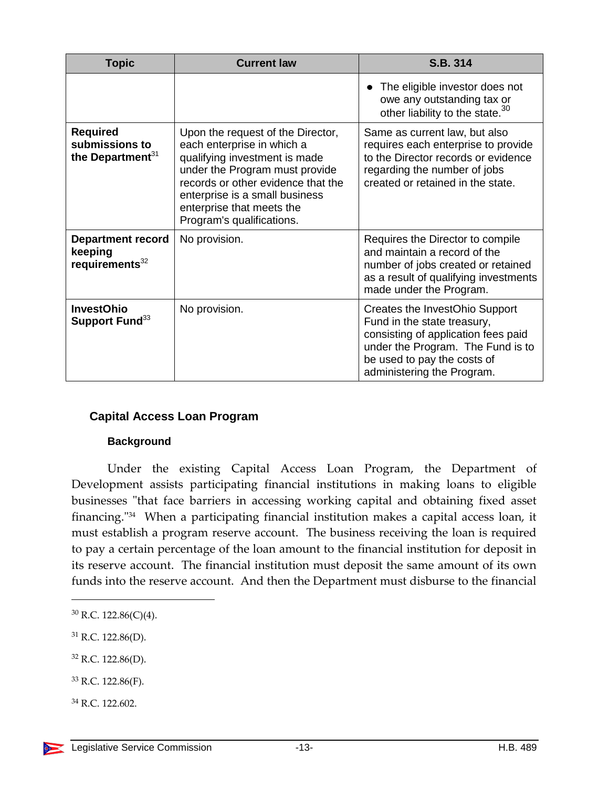| <b>Topic</b>                                                      | <b>Current law</b>                                                                                                                                                                                                                                                   | S.B. 314                                                                                                                                                                                               |
|-------------------------------------------------------------------|----------------------------------------------------------------------------------------------------------------------------------------------------------------------------------------------------------------------------------------------------------------------|--------------------------------------------------------------------------------------------------------------------------------------------------------------------------------------------------------|
|                                                                   |                                                                                                                                                                                                                                                                      | The eligible investor does not<br>owe any outstanding tax or<br>other liability to the state. <sup>30</sup>                                                                                            |
| <b>Required</b><br>submissions to<br>the Department <sup>31</sup> | Upon the request of the Director,<br>each enterprise in which a<br>qualifying investment is made<br>under the Program must provide<br>records or other evidence that the<br>enterprise is a small business<br>enterprise that meets the<br>Program's qualifications. | Same as current law, but also<br>requires each enterprise to provide<br>to the Director records or evidence<br>regarding the number of jobs<br>created or retained in the state.                       |
| <b>Department record</b><br>keeping<br>requirements <sup>32</sup> | No provision.                                                                                                                                                                                                                                                        | Requires the Director to compile<br>and maintain a record of the<br>number of jobs created or retained<br>as a result of qualifying investments<br>made under the Program.                             |
| <b>InvestOhio</b><br>Support Fund <sup>33</sup>                   | No provision.                                                                                                                                                                                                                                                        | Creates the InvestOhio Support<br>Fund in the state treasury,<br>consisting of application fees paid<br>under the Program. The Fund is to<br>be used to pay the costs of<br>administering the Program. |

#### <span id="page-12-0"></span>**Capital Access Loan Program**

#### **Background**

<span id="page-12-1"></span>Under the existing Capital Access Loan Program, the Department of Development assists participating financial institutions in making loans to eligible businesses "that face barriers in accessing working capital and obtaining fixed asset financing." 34 When a participating financial institution makes a capital access loan, it must establish a program reserve account. The business receiving the loan is required to pay a certain percentage of the loan amount to the financial institution for deposit in its reserve account. The financial institution must deposit the same amount of its own funds into the reserve account. And then the Department must disburse to the financial

- <sup>32</sup> R.C. 122.86(D).
- $33$  R.C. 122.86(F).
- <sup>34</sup> R.C. 122.602.

<sup>30</sup> R.C. 122.86(C)(4).

 $31$  R.C. 122.86(D).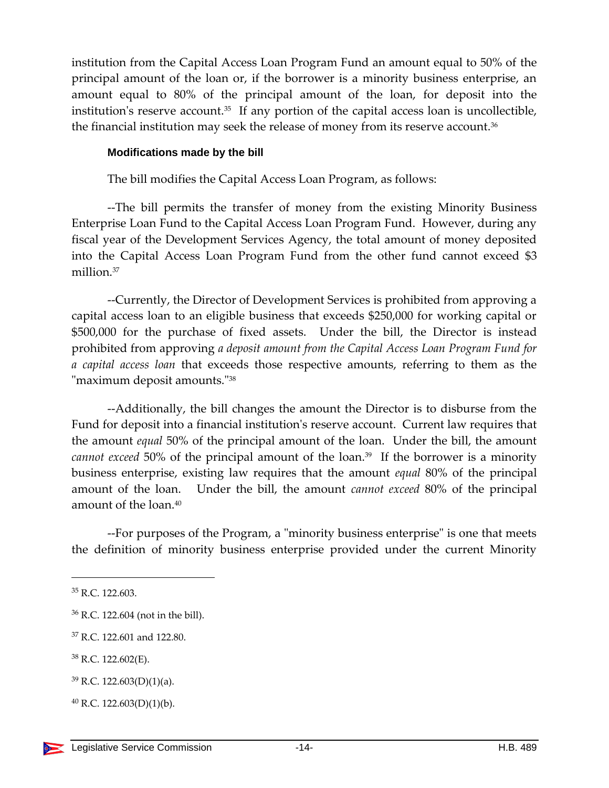institution from the Capital Access Loan Program Fund an amount equal to 50% of the principal amount of the loan or, if the borrower is a minority business enterprise, an amount equal to 80% of the principal amount of the loan, for deposit into the institution's reserve account.<sup>35</sup> If any portion of the capital access loan is uncollectible, the financial institution may seek the release of money from its reserve account.<sup>36</sup>

#### <span id="page-13-0"></span>**Modifications made by the bill**

The bill modifies the Capital Access Loan Program, as follows:

--The bill permits the transfer of money from the existing Minority Business Enterprise Loan Fund to the Capital Access Loan Program Fund. However, during any fiscal year of the Development Services Agency, the total amount of money deposited into the Capital Access Loan Program Fund from the other fund cannot exceed \$3 million. 37

--Currently, the Director of Development Services is prohibited from approving a capital access loan to an eligible business that exceeds \$250,000 for working capital or \$500,000 for the purchase of fixed assets. Under the bill, the Director is instead prohibited from approving *a deposit amount from the Capital Access Loan Program Fund for a capital access loan* that exceeds those respective amounts, referring to them as the "maximum deposit amounts."<sup>38</sup>

--Additionally, the bill changes the amount the Director is to disburse from the Fund for deposit into a financial institution's reserve account. Current law requires that the amount *equal* 50% of the principal amount of the loan. Under the bill, the amount *cannot exceed* 50% of the principal amount of the loan.<sup>39</sup> If the borrower is a minority business enterprise, existing law requires that the amount *equal* 80% of the principal amount of the loan. Under the bill, the amount *cannot exceed* 80% of the principal amount of the loan.<sup>40</sup>

--For purposes of the Program, a "minority business enterprise" is one that meets the definition of minority business enterprise provided under the current Minority

<sup>35</sup> R.C. 122.603.

<sup>36</sup> R.C. 122.604 (not in the bill).

<sup>37</sup> R.C. 122.601 and 122.80.

<sup>38</sup> R.C. 122.602(E).

 $39$  R.C. 122.603(D)(1)(a).

 $^{40}$  R.C. 122.603(D)(1)(b).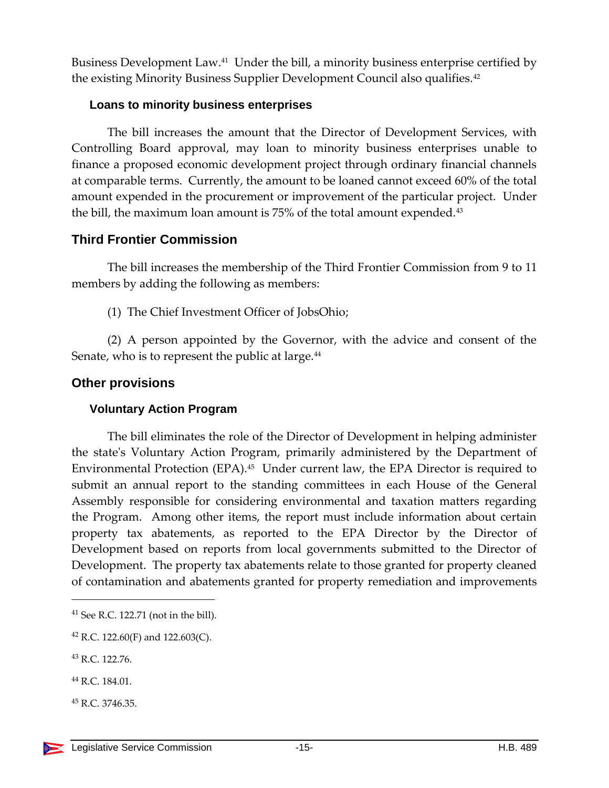Business Development Law.<sup>41</sup> Under the bill, a minority business enterprise certified by the existing Minority Business Supplier Development Council also qualifies.<sup>42</sup>

#### <span id="page-14-0"></span>**Loans to minority business enterprises**

The bill increases the amount that the Director of Development Services, with Controlling Board approval, may loan to minority business enterprises unable to finance a proposed economic development project through ordinary financial channels at comparable terms. Currently, the amount to be loaned cannot exceed 60% of the total amount expended in the procurement or improvement of the particular project. Under the bill, the maximum loan amount is 75% of the total amount expended.<sup>43</sup>

#### <span id="page-14-1"></span>**Third Frontier Commission**

The bill increases the membership of the Third Frontier Commission from 9 to 11 members by adding the following as members:

(1) The Chief Investment Officer of JobsOhio;

(2) A person appointed by the Governor, with the advice and consent of the Senate, who is to represent the public at large.<sup>44</sup>

#### <span id="page-14-2"></span>**Other provisions**

#### <span id="page-14-3"></span>**Voluntary Action Program**

The bill eliminates the role of the Director of Development in helping administer the state's Voluntary Action Program, primarily administered by the Department of Environmental Protection (EPA).<sup>45</sup> Under current law, the EPA Director is required to submit an annual report to the standing committees in each House of the General Assembly responsible for considering environmental and taxation matters regarding the Program. Among other items, the report must include information about certain property tax abatements, as reported to the EPA Director by the Director of Development based on reports from local governments submitted to the Director of Development. The property tax abatements relate to those granted for property cleaned of contamination and abatements granted for property remediation and improvements

<sup>41</sup> See R.C. 122.71 (not in the bill).

<sup>&</sup>lt;sup>42</sup> R.C. 122.60(F) and 122.603(C).

<sup>43</sup> R.C. 122.76.

<sup>44</sup> R.C. 184.01.

<sup>45</sup> R.C. 3746.35.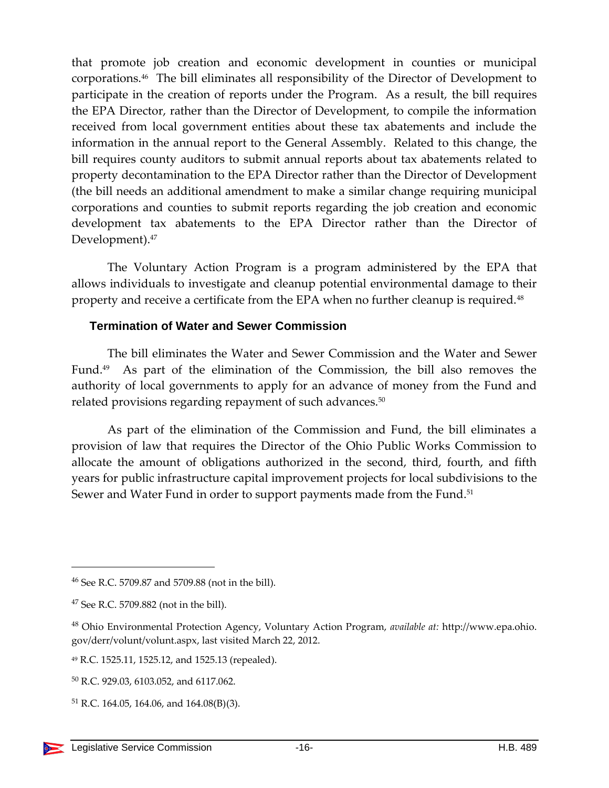that promote job creation and economic development in counties or municipal corporations.<sup>46</sup> The bill eliminates all responsibility of the Director of Development to participate in the creation of reports under the Program. As a result, the bill requires the EPA Director, rather than the Director of Development, to compile the information received from local government entities about these tax abatements and include the information in the annual report to the General Assembly. Related to this change, the bill requires county auditors to submit annual reports about tax abatements related to property decontamination to the EPA Director rather than the Director of Development (the bill needs an additional amendment to make a similar change requiring municipal corporations and counties to submit reports regarding the job creation and economic development tax abatements to the EPA Director rather than the Director of Development).<sup>47</sup>

The Voluntary Action Program is a program administered by the EPA that allows individuals to investigate and cleanup potential environmental damage to their property and receive a certificate from the EPA when no further cleanup is required.<sup>48</sup>

#### <span id="page-15-0"></span>**Termination of Water and Sewer Commission**

The bill eliminates the Water and Sewer Commission and the Water and Sewer Fund.<sup>49</sup> As part of the elimination of the Commission, the bill also removes the authority of local governments to apply for an advance of money from the Fund and related provisions regarding repayment of such advances.<sup>50</sup>

As part of the elimination of the Commission and Fund, the bill eliminates a provision of law that requires the Director of the Ohio Public Works Commission to allocate the amount of obligations authorized in the second, third, fourth, and fifth years for public infrastructure capital improvement projects for local subdivisions to the Sewer and Water Fund in order to support payments made from the Fund.<sup>51</sup>

<sup>46</sup> See R.C. 5709.87 and 5709.88 (not in the bill).

 $47$  See R.C. 5709.882 (not in the bill).

<sup>48</sup> Ohio Environmental Protection Agency, Voluntary Action Program, *available at:* http://www.epa.ohio. gov/derr/volunt/volunt.aspx, last visited March 22, 2012.

<sup>49</sup> R.C. 1525.11, 1525.12, and 1525.13 (repealed).

<sup>50</sup> R.C. 929.03, 6103.052, and 6117.062.

<sup>51</sup> R.C. 164.05, 164.06, and 164.08(B)(3).